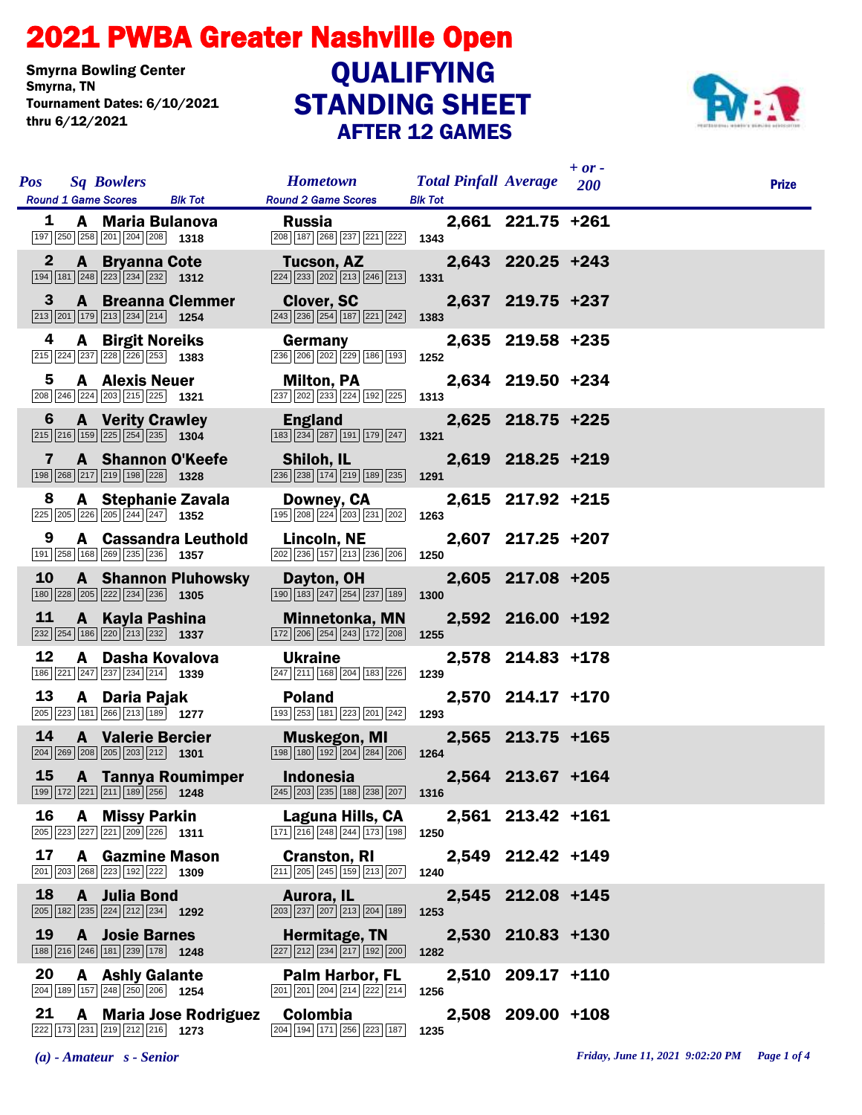## STANDING SHEET 2021 PWBA Greater Nashville Open AFTER 12 GAMES Smyrna Bowling Center<br>Smyrna, TN Tournament Dates: 6/10/2021 thru 6/12/2021 **QUALIFYING**



| <b>Pos</b>   | <b>Sq Bowlers</b>                                                                                                           |                                                                                                                              | <b>Hometown</b>                                                                                    |                |       | <b>Total Pinfall Average</b> 200 | $+ or -$ | <b>Prize</b> |
|--------------|-----------------------------------------------------------------------------------------------------------------------------|------------------------------------------------------------------------------------------------------------------------------|----------------------------------------------------------------------------------------------------|----------------|-------|----------------------------------|----------|--------------|
|              | <b>Round 1 Game Scores</b>                                                                                                  | <b>Blk Tot</b>                                                                                                               | <b>Round 2 Game Scores</b>                                                                         | <b>Blk Tot</b> |       |                                  |          |              |
| 1            | A Maria Bulanova<br>$\boxed{197}$ $\boxed{250}$ $\boxed{258}$ $\boxed{201}$ $\boxed{204}$ $\boxed{208}$ <b>1318</b>         |                                                                                                                              | <b>Russia</b><br>208 187 268 237 221 222                                                           | 1343           |       | 2,661 221.75 +261                |          |              |
| $\mathbf{2}$ | <b>A</b> Bryanna Cote<br>$\boxed{194}$ $\boxed{181}$ $\boxed{248}$ $\boxed{223}$ $\boxed{234}$ $\boxed{232}$ <b>1312</b>    |                                                                                                                              | Tucson, AZ<br>224 233 202 213 246 213                                                              | 1331           |       | 2,643 220.25 +243                |          |              |
| 3            | $\boxed{213}$ $\boxed{201}$ $\boxed{179}$ $\boxed{213}$ $\boxed{234}$ $\boxed{214}$ <b>1254</b>                             | <b>A</b> Breanna Clemmer                                                                                                     | <b>Clover, SC</b><br>243 236 254 187 221 242                                                       | 1383           |       | 2,637 219.75 +237                |          |              |
| 4            | <b>A</b> Birgit Noreiks<br>$\boxed{215}$ $\boxed{224}$ $\boxed{237}$ $\boxed{228}$ $\boxed{226}$ $\boxed{253}$ <b>1383</b>  |                                                                                                                              | Germany<br>236 206 202 229 186 193                                                                 | 1252           |       | 2,635 219.58 +235                |          |              |
| 5            | <b>A</b> Alexis Neuer<br>208 246 224 203 215 225 1321                                                                       |                                                                                                                              | Milton, PA<br>237 202 233 224 192 225                                                              | 1313           |       | 2,634 219.50 +234                |          |              |
| 6            | <b>A</b> Verity Crawley<br>$\boxed{215}$ $\boxed{216}$ $\boxed{159}$ $\boxed{225}$ $\boxed{254}$ $\boxed{235}$ <b>1304</b>  |                                                                                                                              | <b>England</b><br>183 234 287 191 179 247                                                          | 1321           |       | 2,625 218.75 +225                |          |              |
| 7            | $\boxed{198}$ $\boxed{268}$ $\boxed{217}$ $\boxed{219}$ $\boxed{198}$ $\boxed{228}$ <b>1328</b>                             | A Shannon O'Keefe                                                                                                            | Shiloh, IL<br>236 238 174 219 189 235                                                              | 1291           |       | 2,619 218.25 +219                |          |              |
| 8            |                                                                                                                             | A Stephanie Zavala                                                                                                           | Downey, CA<br>195 208 224 203 231 202                                                              | 1263           |       | 2,615 217.92 +215                |          |              |
| 9            | 191 258 168 269 235 236 1357                                                                                                | <b>A</b> Cassandra Leuthold                                                                                                  | Lincoln, NE<br>$\boxed{202}$ $\boxed{236}$ $\boxed{157}$ $\boxed{213}$ $\boxed{236}$ $\boxed{206}$ | 1250           |       | 2,607 217.25 +207                |          |              |
| 10           | $\boxed{180}$ $\boxed{228}$ $\boxed{205}$ $\boxed{222}$ $\boxed{234}$ $\boxed{236}$ <b>1305</b>                             | <b>A</b> Shannon Pluhowsky                                                                                                   | Dayton, OH<br>190 183 247 254 237 189                                                              | 1300           |       | 2,605 217.08 +205                |          |              |
| 11           | A Kayla Pashina<br>232 254 186 220 213 232 1337                                                                             |                                                                                                                              | <b>Minnetonka, MN</b><br>172 206 254 243 172 208                                                   | 1255           |       | 2,592 216.00 +192                |          |              |
| 12           | 186 221 247 237 234 214 1339                                                                                                | A Dasha Kovalova                                                                                                             | <b>Ukraine</b><br>247 211 168 204 183 226                                                          | 1239           |       | 2,578 214.83 +178                |          |              |
| 13           | A Daria Pajak<br>205 223 181 266 213 189 1277                                                                               |                                                                                                                              | <b>Poland</b><br>193 253 181 223 201 242 1293                                                      |                |       | 2,570 214.17 +170                |          |              |
| 14           | <b>A</b> Valerie Bercier<br>$\boxed{204}$ $\boxed{269}$ $\boxed{208}$ $\boxed{205}$ $\boxed{203}$ $\boxed{212}$ <b>1301</b> |                                                                                                                              | <b>Muskegon, MI</b><br>198 180 192 204 284 206                                                     | 1264           |       | 2,565 213.75 +165                |          |              |
| <b>15</b>    |                                                                                                                             | <b>A</b> Tannya Roumimper<br>$\boxed{199}$ $\boxed{172}$ $\boxed{221}$ $\boxed{211}$ $\boxed{189}$ $\boxed{256}$ <b>1248</b> | <b>Indonesia</b><br>245 203 235 188 238 207 1316                                                   |                |       | 2,564 213.67 +164                |          |              |
| 16           | A Missy Parkin<br>205 223 227 221 209 226 1311                                                                              |                                                                                                                              | Laguna Hills, CA<br>171 216 248 244 173 198                                                        | 1250           |       | 2,561 213.42 +161                |          |              |
| 17           | 201 203 268 223 192 222 1309                                                                                                | <b>A</b> Gazmine Mason                                                                                                       | <b>Cranston, RI</b><br>211 205 245 159 213 207                                                     | 1240           |       | 2,549 212.42 +149                |          |              |
| 18           | A Julia Bond<br>$\boxed{205}$ 182 235 224 212 234 1292                                                                      |                                                                                                                              | Aurora, IL<br>203 237 207 213 204 189                                                              | 1253           | 2,545 | 212.08 +145                      |          |              |
| 19           | <b>A</b> Josie Barnes<br>188 216 246 181 239 178 1248                                                                       |                                                                                                                              | Hermitage, TN<br>227 212 234 217 192 200                                                           | 1282           |       | 2,530 210.83 +130                |          |              |
| 20           | <b>A</b> Ashly Galante<br>204 189 157 248 250 206 1254                                                                      |                                                                                                                              | <b>Palm Harbor, FL</b><br>201 201 204 214 222 214                                                  | 1256           | 2,510 | $209.17$ +110                    |          |              |
| 21           | 222 173 231 219 212 216 1273                                                                                                | <b>A</b> Maria Jose Rodriguez                                                                                                | <b>Colombia</b><br>204 194 171 256 223 187                                                         | 1235           |       | 2,508 209.00 +108                |          |              |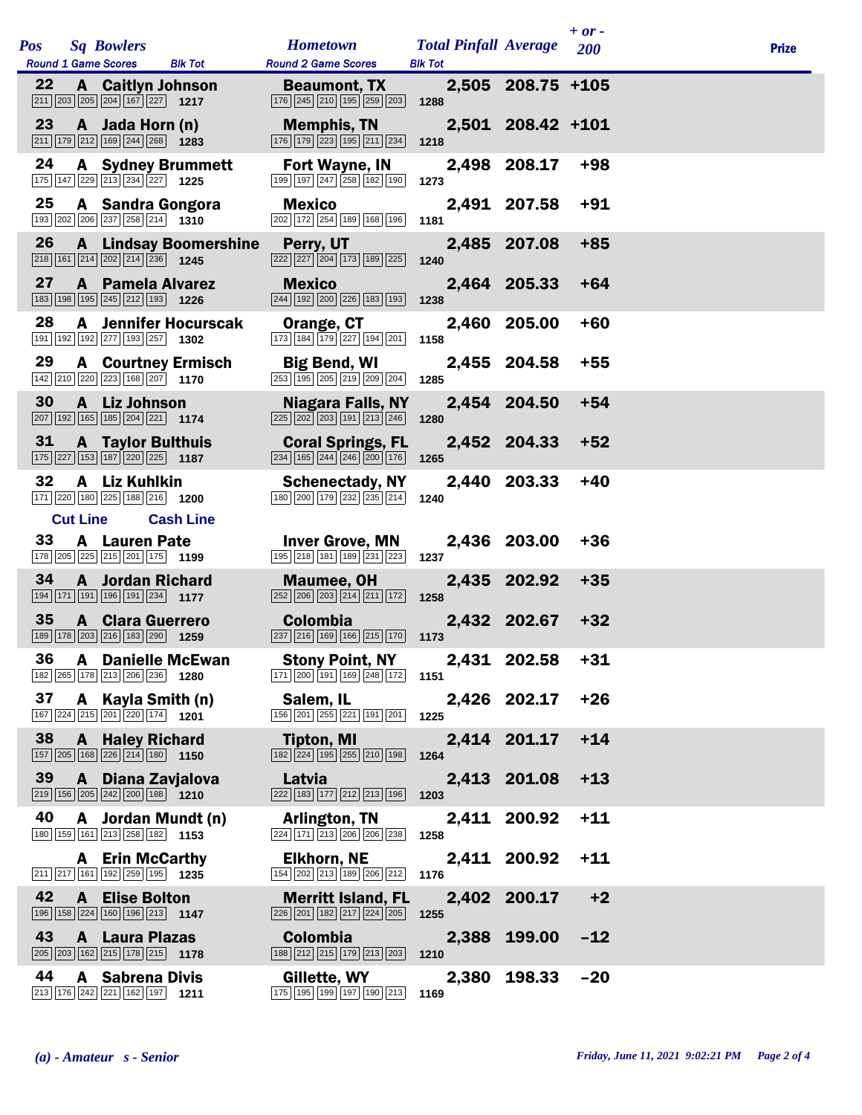|     |    |                 |                                                                                                                             |                                   |                                                                                                                             |                |       |                              | $+ or -$   |              |
|-----|----|-----------------|-----------------------------------------------------------------------------------------------------------------------------|-----------------------------------|-----------------------------------------------------------------------------------------------------------------------------|----------------|-------|------------------------------|------------|--------------|
| Pos |    |                 | <b>Sq Bowlers</b><br><b>Round 1 Game Scores</b>                                                                             | <b>Blk Tot</b>                    | <b>Hometown</b><br><b>Round 2 Game Scores</b>                                                                               | <b>Blk Tot</b> |       | <b>Total Pinfall Average</b> | <b>200</b> | <b>Prize</b> |
|     | 22 |                 | <b>A</b> Caitlyn Johnson<br>$\boxed{211}$ $\boxed{203}$ $\boxed{205}$ $\boxed{204}$ $\boxed{167}$ $\boxed{227}$ <b>1217</b> |                                   | <b>Beaumont, TX</b><br>176 245 210 195 259 203                                                                              | 1288           |       | 2,505 208.75 +105            |            |              |
|     | 23 |                 | A Jada Horn (n)<br>$\boxed{211}$ $\boxed{179}$ $\boxed{212}$ $\boxed{169}$ $\boxed{244}$ $\boxed{268}$                      | 1283                              | <b>Memphis, TN</b><br>176 179 223 195 211 234                                                                               | 1218           |       | 2,501 208.42 +101            |            |              |
|     | 24 |                 | <b>A</b> Sydney Brummett<br>175 147 229 213 234 227 1225                                                                    |                                   | Fort Wayne, IN<br>199 197 247 258 182 190                                                                                   | 1273           |       | 2,498 208.17                 | $+98$      |              |
|     | 25 |                 | A Sandra Gongora<br>193 202 206 237 258 214 1310                                                                            |                                   | <b>Mexico</b><br>202 172 254 189 168 196                                                                                    | 1181           |       | 2,491 207.58                 | $+91$      |              |
|     | 26 |                 | $\boxed{218}$ 161 $\boxed{214}$ $\boxed{202}$ $\boxed{214}$ $\boxed{236}$ 1245                                              | <b>A</b> Lindsay Boomershine      | Perry, UT<br>222 227 204 173 189 225                                                                                        | 1240           | 2,485 | 207.08                       | $+85$      |              |
|     | 27 |                 | <b>A</b> Pamela Alvarez<br>183 198 195 245 212 193 1226                                                                     |                                   | <b>Mexico</b><br>244 192 200 226 183 193                                                                                    | 1238           |       | 2,464 205.33                 | $+64$      |              |
|     | 28 | A               | 191 192 192 277 193 257                                                                                                     | <b>Jennifer Hocurscak</b><br>1302 | Orange, CT<br>173 184 179 227 194 201                                                                                       | 1158           | 2,460 | 205.00                       | $+60$      |              |
|     | 29 |                 | <b>A</b> Courtney Ermisch<br>142 210 220 223 168 207 1170                                                                   |                                   | <b>Big Bend, WI</b><br>$\boxed{253}$ $\boxed{195}$ $\boxed{205}$ $\boxed{219}$ $\boxed{209}$ $\boxed{204}$                  | 1285           |       | 2,455 204.58                 | $+55$      |              |
|     | 30 |                 | A Liz Johnson<br>207 192 165 185 204 221 174                                                                                |                                   | <b>Niagara Falls, NY</b><br>$\boxed{225}$ $\boxed{202}$ $\boxed{203}$ $\boxed{191}$ $\boxed{213}$ $\boxed{246}$             | 1280           |       | 2,454 204.50                 | $+54$      |              |
|     | 31 |                 | <b>A</b> Taylor Bulthuis<br>175 227 153 187 220 225 1187                                                                    |                                   | <b>Coral Springs, FL</b><br>$\boxed{234}$ $\boxed{165}$ $\boxed{244}$ $\boxed{246}$ $\boxed{200}$ $\boxed{176}$ <b>1265</b> |                |       | 2,452 204.33                 | $+52$      |              |
|     | 32 | A               | <b>Liz Kuhlkin</b><br>171 220 180 225 188 216 1200                                                                          |                                   | <b>Schenectady, NY</b><br>180 200 179 232 235 214                                                                           | 1240           | 2,440 | 203.33                       | $+40$      |              |
|     | 33 | <b>Cut Line</b> | <b>A</b> Lauren Pate<br>178 205 225 215 201 175 1199                                                                        | <b>Cash Line</b>                  | <b>Inver Grove, MN</b><br>195 218 181 189 231 223                                                                           | 1237           |       | 2,436 203.00                 | $+36$      |              |
|     | 34 | $\mathbf{A}$    | <b>Jordan Richard</b><br>194 171 191 196 191 234 1177                                                                       |                                   | <b>Maumee, OH</b><br>252 206 203 214 211 172                                                                                | 1258           | 2,435 | 202.92                       | $+35$      |              |
|     | 35 |                 | <b>A</b> Clara Guerrero<br>189 178 203 216 183 290 1259                                                                     |                                   | <b>Colombia</b><br>$\boxed{237}$ $\boxed{216}$ $\boxed{169}$ $\boxed{166}$ $\boxed{215}$ $\boxed{170}$                      | 1173           |       | 2,432 202.67                 | $+32$      |              |
|     | 36 |                 | <b>A</b> Danielle McEwan<br>182 265 178 213 206 236 1280                                                                    |                                   | <b>Stony Point, NY</b><br>171 200 191 169 248 172 1151                                                                      |                |       | 2,431 202.58                 | +31        |              |
|     | 37 |                 | A Kayla Smith (n)<br>167 224 215 201 220 174 1201                                                                           |                                   | Salem, IL<br>156 201 255 221 191 201                                                                                        | 1225           |       | 2,426 202.17                 | $+26$      |              |
|     | 38 | A               | <b>Haley Richard</b><br>157 205 168 226 214 180 1150                                                                        |                                   | <b>Tipton, MI</b><br>182 224 195 255 210 198                                                                                | 1264           |       | 2,414 201.17                 | $+14$      |              |
|     | 39 |                 | A Diana Zavjalova<br>$\boxed{219}$ 156 205 242 200 188 1210                                                                 |                                   | Latvia<br>222 183 177 212 213 196                                                                                           | 1203           |       | 2,413 201.08                 | $+13$      |              |
|     | 40 | A               | Jordan Mundt (n)<br>180 159 161 213 258 182 1153                                                                            |                                   | Arlington, TN<br>224 171 213 206 206 238                                                                                    | 1258           |       | 2,411 200.92                 | $+11$      |              |
|     |    |                 | <b>A</b> Erin McCarthy<br>$\boxed{211}$ $\boxed{217}$ $\boxed{161}$ $\boxed{192}$ $\boxed{259}$ $\boxed{195}$ <b>1235</b>   |                                   | <b>Elkhorn, NE</b><br>154 202 213 189 206 212                                                                               | 1176           |       | 2,411 200.92                 | $+11$      |              |
|     | 42 | $\mathbf{A}$    | <b>Elise Bolton</b><br>$\boxed{196}$ $\boxed{158}$ $\boxed{224}$ $\boxed{160}$ $\boxed{196}$ $\boxed{213}$ 1147             |                                   | <b>Merritt Island, FL</b><br>226 201 182 217 224 205                                                                        | 1255           |       | 2,402 200.17                 | $+2$       |              |
|     | 43 |                 | <b>A</b> Laura Plazas<br>205 203 162 215 178 215 178                                                                        |                                   | <b>Colombia</b><br>188 212 215 179 213 203                                                                                  | 1210           | 2,388 | 199.00                       | $-12$      |              |
|     | 44 |                 | <b>A</b> Sabrena Divis<br>$\boxed{213}$ 176 242 221 162 197 1211                                                            |                                   | Gillette, WY<br>175 195 199 197 190 213                                                                                     | 1169           | 2,380 | 198.33                       | $-20$      |              |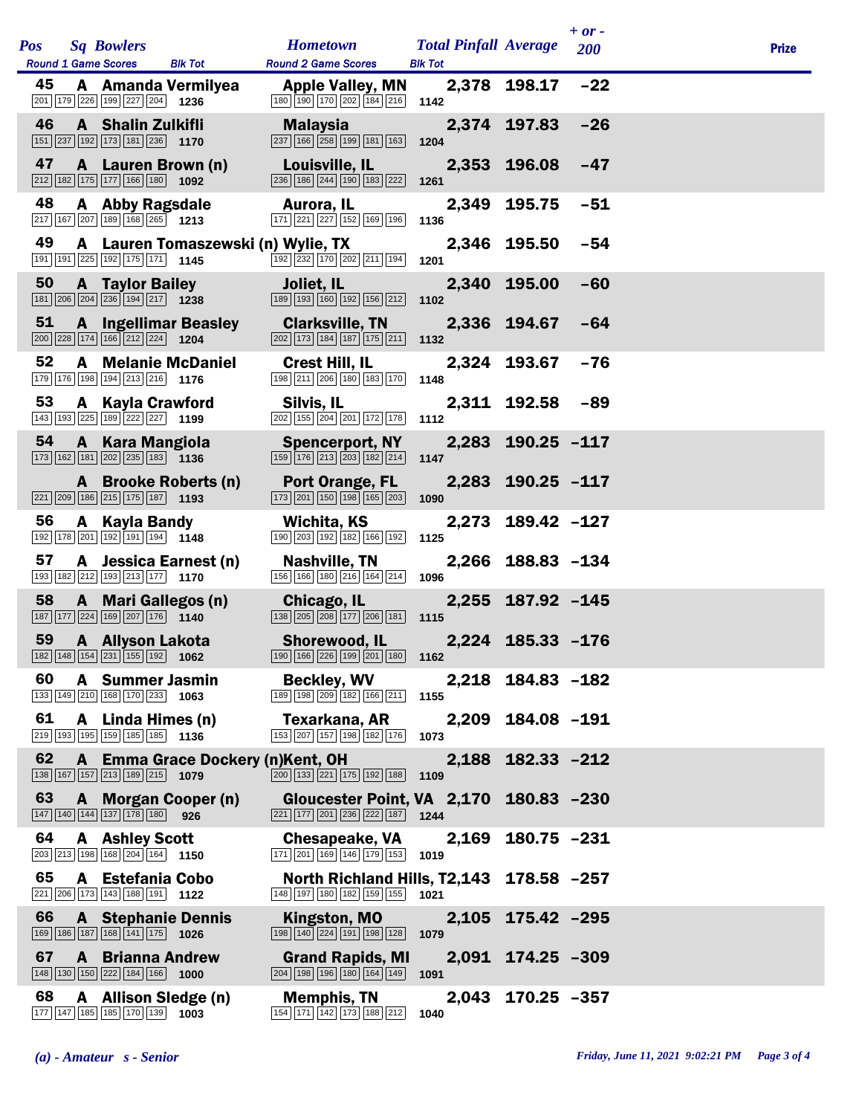| <b>Pos</b> | <b>Sq Bowlers</b><br><b>Round 1 Game Scores</b>                                                                            | <b>Blk Tot</b>                     | <b>Hometown</b><br><b>Round 2 Game Scores</b>                                                                                 | <b>Total Pinfall Average</b><br><b>Blk Tot</b> |                   | $+ or -$<br>200 | <b>Prize</b> |
|------------|----------------------------------------------------------------------------------------------------------------------------|------------------------------------|-------------------------------------------------------------------------------------------------------------------------------|------------------------------------------------|-------------------|-----------------|--------------|
| 45         | 201 179 226 199 227 204 1236                                                                                               | A Amanda Vermilyea                 | <b>Apple Valley, MN</b><br>$\boxed{180}$ $\boxed{190}$ $\boxed{170}$ $\boxed{202}$ $\boxed{184}$ $\boxed{216}$                | 1142                                           | 2,378 198.17      | $-22$           |              |
| 46         | A Shalin Zulkifli<br>$\boxed{151}$ $\boxed{237}$ $\boxed{192}$ $\boxed{173}$ $\boxed{181}$ $\boxed{236}$ <b>1170</b>       |                                    | <b>Malaysia</b><br>237 166 258 199 181 163                                                                                    | 1204                                           | 2,374 197.83      | $-26$           |              |
| 47         | $\boxed{212}$ $\boxed{182}$ $\boxed{175}$ $\boxed{177}$ $\boxed{166}$ $\boxed{180}$ <b>1092</b>                            | A Lauren Brown (n)                 | Louisville, IL<br>236 186 244 190 183 222                                                                                     | 1261                                           | 2,353 196.08      | $-47$           |              |
| 48         | A Abby Ragsdale<br>217 167 207 189 168 265 1213                                                                            |                                    | Aurora, IL<br>171 221 227 152 169 196                                                                                         | 1136                                           | 2,349 195.75      | $-51$           |              |
| 49         | 191 191 225 192 175 171 1145                                                                                               | A Lauren Tomaszewski (n) Wylie, TX | 192 232 170 202 211 194                                                                                                       | 1201                                           | 2,346 195.50      | -54             |              |
| 50         | <b>A</b> Taylor Bailey<br>$\boxed{181}$ $\boxed{206}$ $\boxed{204}$ $\boxed{236}$ $\boxed{194}$ $\boxed{217}$ 1238         |                                    | Joliet, IL<br>189 193 160 192 156 212                                                                                         | 1102                                           | 2,340 195.00      | $-60$           |              |
| 51         | $\boxed{200}$ $\boxed{228}$ 174 166 212 224 1204                                                                           | <b>A</b> Ingellimar Beasley        | <b>Clarksville, TN</b><br>202 173 184 187 175 211                                                                             | 1132                                           | 2,336 194.67      | -64             |              |
| 52         | 179 176 198 194 213 216 1176                                                                                               | <b>A</b> Melanie McDaniel          | <b>Crest Hill, IL</b><br>198 211 206 180 183 170                                                                              | 1148                                           | 2,324 193.67      | $-76$           |              |
| 53         | A Kayla Crawford<br>143 193 225 189 222 227 1199                                                                           |                                    | Silvis, IL<br>202 155 204 201 172 178                                                                                         | 1112                                           | 2,311 192.58      | $-89$           |              |
| 54         | A Kara Mangiola<br>173 162 181 202 235 183 1136                                                                            |                                    | <b>Spencerport, NY</b><br>$\boxed{159}$ $\boxed{176}$ $\boxed{213}$ $\boxed{203}$ $\boxed{182}$ $\boxed{214}$                 | 2,283<br>1147                                  | $190.25 - 117$    |                 |              |
|            | 221 209 186 215 175 187 193                                                                                                | A Brooke Roberts (n)               | Port Orange, FL<br>173 201 150 198 165 203                                                                                    | 1090                                           | 2,283 190.25 -117 |                 |              |
| 56         | A Kayla Bandy<br>192 178 201 192 191 194 1148                                                                              |                                    | Wichita, KS<br>190 203 192 182 166 192                                                                                        | 1125                                           | 2,273 189.42 -127 |                 |              |
| 57         | 193 182 212 193 213 177 1170                                                                                               | A Jessica Earnest (n)              | Nashville, TN<br>156 166 180 216 164 214                                                                                      | 1096                                           | 2,266 188.83 -134 |                 |              |
| 58         | 187 177 224 169 207 176 1140                                                                                               | A Mari Gallegos (n)                | Chicago, IL<br>138 205 208 177 206 181                                                                                        | 1115                                           | 2,255 187.92 -145 |                 |              |
| 59         | A Allyson Lakota<br>182 148 154 231 155 192 1062                                                                           |                                    | <b>Shorewood, IL</b><br>190 166 226 199 201 180 1162                                                                          |                                                | 2,224 185.33 -176 |                 |              |
| 60         | A Summer Jasmin<br>133 149 210 168 170 233 1063                                                                            |                                    | <b>Beckley, WV</b><br>189 198 209 182 166 211                                                                                 | 1155                                           | 2,218 184.83 -182 |                 |              |
| 61         | A Linda Himes (n)<br>219 193 195 159 185 185 1136                                                                          |                                    | Texarkana, AR<br>153 207 157 198 182 176                                                                                      | 2,209<br>1073                                  | 184.08 -191       |                 |              |
| 62         | 138 167 157 213 189 215 1079                                                                                               | A Emma Grace Dockery (n)Kent, OH   | 200 133 221 175 192 188                                                                                                       | 2,188<br>1109                                  | $182.33 - 212$    |                 |              |
| 63         | 147 140 144 137 178 180 926                                                                                                | A Morgan Cooper (n)                | Gloucester Point, VA 2,170 180.83 -230<br>$\boxed{221}$ $\boxed{177}$ $\boxed{201}$ $\boxed{236}$ $\boxed{222}$ $\boxed{187}$ | 1244                                           |                   |                 |              |
| 64         | <b>A</b> Ashley Scott<br>203 213 198 168 204 164 1150                                                                      |                                    | <b>Chesapeake, VA</b><br>171 201 169 146 179 153                                                                              | 2,169<br>1019                                  | $180.75 - 231$    |                 |              |
| 65         | A Estefania Cobo<br>221 206 173 143 188 191 1122                                                                           |                                    | North Richland Hills, T2,143 178.58 -257<br>148 197 180 182 159 155                                                           | 1021                                           |                   |                 |              |
| 66         | 169 186 187 168 141 175 1026                                                                                               | <b>A</b> Stephanie Dennis          | Kingston, MO<br>198 140 224 191 198 128                                                                                       | 1079                                           | 2,105 175.42 -295 |                 |              |
| 67         | <b>A</b> Brianna Andrew<br>$\boxed{148}$ $\boxed{130}$ $\boxed{150}$ $\boxed{222}$ $\boxed{184}$ $\boxed{166}$ <b>1000</b> |                                    | <b>Grand Rapids, MI</b><br>204 198 196 180 164 149                                                                            | 1091                                           | 2,091 174.25 -309 |                 |              |
| 68         | 177 147 185 185 170 139 1003                                                                                               | A Allison Sledge (n)               | <b>Memphis, TN</b><br>154 171 142 173 188 212                                                                                 | 1040                                           | 2,043 170.25 -357 |                 |              |